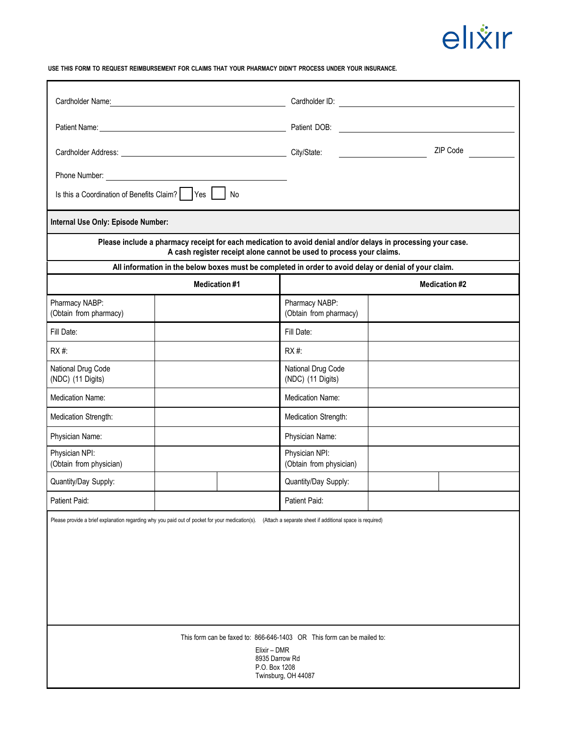# eli *x*ir

**USE THIS FORM TO REQUEST REIMBURSEMENT FOR CLAIMS THAT YOUR PHARMACY DIDN'T PROCESS UNDER YOUR INSURANCE.**

|                                                                                                                                                                                      |                      |                                           | ZIP Code             |  |
|--------------------------------------------------------------------------------------------------------------------------------------------------------------------------------------|----------------------|-------------------------------------------|----------------------|--|
|                                                                                                                                                                                      |                      |                                           |                      |  |
| Is this a Coordination of Benefits Claim? Yes   No                                                                                                                                   |                      |                                           |                      |  |
| Internal Use Only: Episode Number:                                                                                                                                                   |                      |                                           |                      |  |
| Please include a pharmacy receipt for each medication to avoid denial and/or delays in processing your case.<br>A cash register receipt alone cannot be used to process your claims. |                      |                                           |                      |  |
| All information in the below boxes must be completed in order to avoid delay or denial of your claim.                                                                                |                      |                                           |                      |  |
|                                                                                                                                                                                      | <b>Medication #1</b> |                                           | <b>Medication #2</b> |  |
| Pharmacy NABP:<br>(Obtain from pharmacy)                                                                                                                                             |                      | Pharmacy NABP:<br>(Obtain from pharmacy)  |                      |  |
| Fill Date:                                                                                                                                                                           |                      | Fill Date:                                |                      |  |
| $RX#$ :                                                                                                                                                                              |                      | RX #:                                     |                      |  |
| National Drug Code<br>(NDC) (11 Digits)                                                                                                                                              |                      | National Drug Code<br>(NDC) (11 Digits)   |                      |  |
| <b>Medication Name:</b>                                                                                                                                                              |                      | <b>Medication Name:</b>                   |                      |  |
| Medication Strength:                                                                                                                                                                 |                      | Medication Strength:                      |                      |  |
| Physician Name:                                                                                                                                                                      |                      | Physician Name:                           |                      |  |
| Physician NPI:<br>(Obtain from physician)                                                                                                                                            |                      | Physician NPI:<br>(Obtain from physician) |                      |  |
| Quantity/Day Supply:                                                                                                                                                                 |                      | Quantity/Day Supply:                      |                      |  |
| Patient Paid:                                                                                                                                                                        |                      | Patient Paid:                             |                      |  |
| Please provide a brief explanation regarding why you paid out of pocket for your medication(s).<br>(Attach a separate sheet if additional space is required)                         |                      |                                           |                      |  |
|                                                                                                                                                                                      |                      |                                           |                      |  |
|                                                                                                                                                                                      |                      |                                           |                      |  |
|                                                                                                                                                                                      |                      |                                           |                      |  |
|                                                                                                                                                                                      |                      |                                           |                      |  |
|                                                                                                                                                                                      |                      |                                           |                      |  |
| This form can be faxed to: 866-646-1403 OR This form can be mailed to:                                                                                                               |                      |                                           |                      |  |
| Elixir - DMR<br>8935 Darrow Rd                                                                                                                                                       |                      |                                           |                      |  |
| P.O. Box 1208<br>Twinsburg, OH 44087                                                                                                                                                 |                      |                                           |                      |  |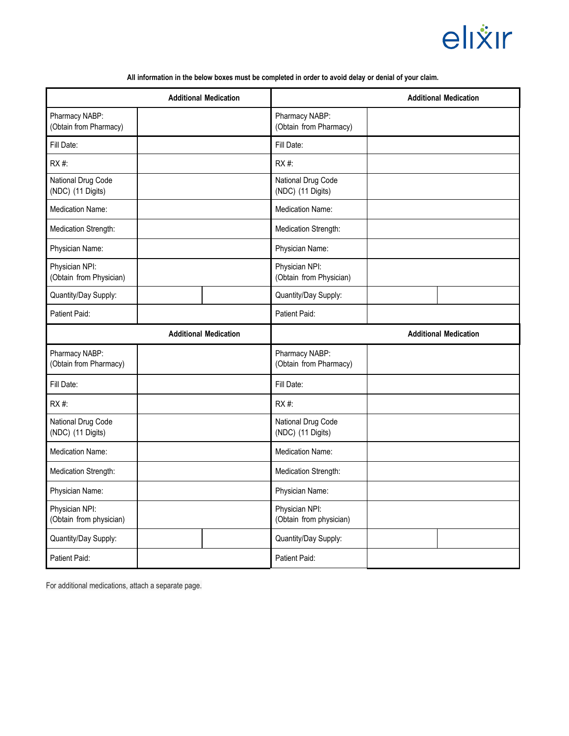

| <b>Additional Medication</b>              |                                           | <b>Additional Medication</b> |
|-------------------------------------------|-------------------------------------------|------------------------------|
| Pharmacy NABP:<br>(Obtain from Pharmacy)  | Pharmacy NABP:<br>(Obtain from Pharmacy)  |                              |
| Fill Date:                                | Fill Date:                                |                              |
| RX#                                       | $RX#$ :                                   |                              |
| National Drug Code<br>(NDC) (11 Digits)   | National Drug Code<br>(NDC) (11 Digits)   |                              |
| <b>Medication Name:</b>                   | <b>Medication Name:</b>                   |                              |
| Medication Strength:                      | Medication Strength:                      |                              |
| Physician Name:                           | Physician Name:                           |                              |
| Physician NPI:<br>(Obtain from Physician) | Physician NPI:<br>(Obtain from Physician) |                              |
| Quantity/Day Supply:                      | Quantity/Day Supply:                      |                              |
| Patient Paid:                             | Patient Paid:                             |                              |
| <b>Additional Medication</b>              |                                           | <b>Additional Medication</b> |
| Pharmacy NABP:<br>(Obtain from Pharmacy)  | Pharmacy NABP:<br>(Obtain from Pharmacy)  |                              |
| Fill Date:                                | Fill Date:                                |                              |
| RX #:                                     | RX #:                                     |                              |
| National Drug Code<br>(NDC) (11 Digits)   | National Drug Code<br>(NDC) (11 Digits)   |                              |
| <b>Medication Name:</b>                   | <b>Medication Name:</b>                   |                              |
| Medication Strength:                      | Medication Strength:                      |                              |
| Physician Name:                           | Physician Name:                           |                              |
| Physician NPI:<br>(Obtain from physician) | Physician NPI:<br>(Obtain from physician) |                              |
| Quantity/Day Supply:                      | Quantity/Day Supply:                      |                              |
| Patient Paid:                             | Patient Paid:                             |                              |

All information in the below boxes must be completed in order to avoid delay or denial of your claim.

For additional medications, attach a separate page.